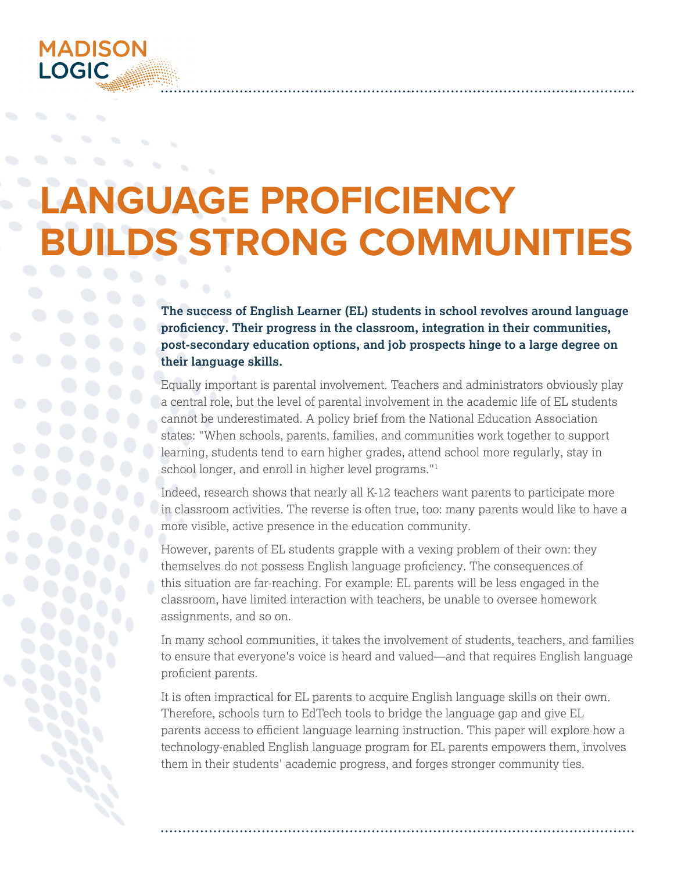

# **LANGUAGE PROFICIENCY BUILDS STRONG COMMUNITIES**

**The success of English Learner (EL) students in school revolves around language proficiency. Their progress in the classroom, integration in their communities, post-secondary education options, and job prospects hinge to a large degree on their language skills.**

Equally important is parental involvement. Teachers and administrators obviously play a central role, but the level of parental involvement in the academic life of EL students cannot be underestimated. A policy brief from the National Education Association states: "When schools, parents, families, and communities work together to support learning, students tend to earn higher grades, attend school more regularly, stay in school longer, and enroll in higher level programs."<sup>1</sup>

Indeed, research shows that nearly all K-12 teachers want parents to participate more in classroom activities. The reverse is often true, too: many parents would like to have a more visible, active presence in the education community.

However, parents of EL students grapple with a vexing problem of their own: they themselves do not possess English language proficiency. The consequences of this situation are far-reaching. For example: EL parents will be less engaged in the classroom, have limited interaction with teachers, be unable to oversee homework assignments, and so on.

In many school communities, it takes the involvement of students, teachers, and families to ensure that everyone's voice is heard and valued—and that requires English language proficient parents.

It is often impractical for EL parents to acquire English language skills on their own. Therefore, schools turn to EdTech tools to bridge the language gap and give EL parents access to efficient language learning instruction. This paper will explore how a technology-enabled English language program for EL parents empowers them, involves them in their students' academic progress, and forges stronger community ties.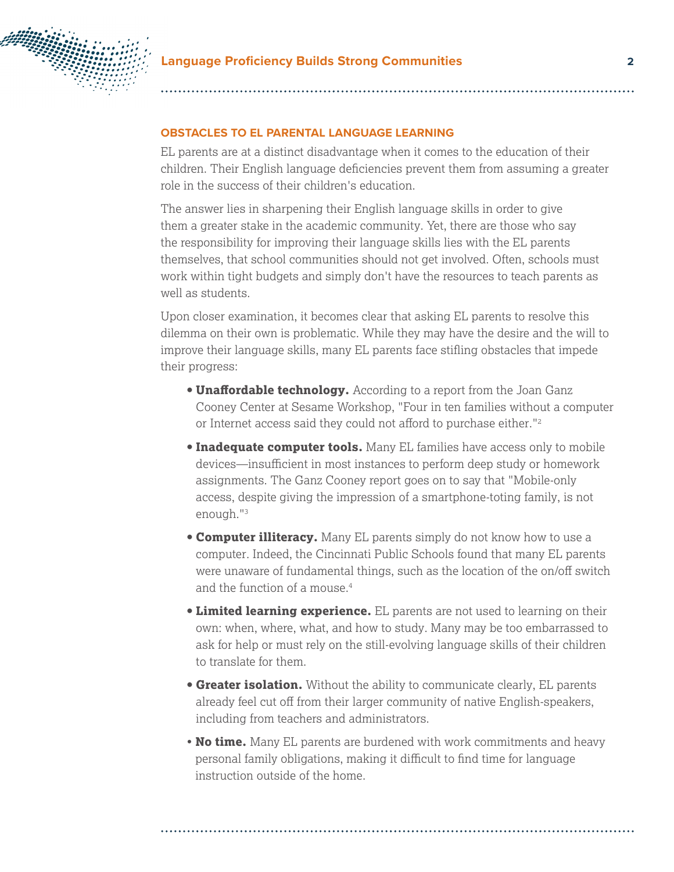

#### **OBSTACLES TO EL PARENTAL LANGUAGE LEARNING**

EL parents are at a distinct disadvantage when it comes to the education of their children. Their English language deficiencies prevent them from assuming a greater role in the success of their children's education.

The answer lies in sharpening their English language skills in order to give them a greater stake in the academic community. Yet, there are those who say the responsibility for improving their language skills lies with the EL parents themselves, that school communities should not get involved. Often, schools must work within tight budgets and simply don't have the resources to teach parents as well as students.

Upon closer examination, it becomes clear that asking EL parents to resolve this dilemma on their own is problematic. While they may have the desire and the will to improve their language skills, many EL parents face stifling obstacles that impede their progress:

- **Unaffordable technology.** According to a report from the Joan Ganz Cooney Center at Sesame Workshop, "Four in ten families without a computer or Internet access said they could not afford to purchase either."<sup>2</sup>
- **Inadequate computer tools.** Many EL families have access only to mobile devices—insufficient in most instances to perform deep study or homework assignments. The Ganz Cooney report goes on to say that "Mobile-only access, despite giving the impression of a smartphone-toting family, is not enough."3
- **Computer illiteracy.** Many EL parents simply do not know how to use a computer. Indeed, the Cincinnati Public Schools found that many EL parents were unaware of fundamental things, such as the location of the on/off switch and the function of a mouse.4
- **Limited learning experience.** EL parents are not used to learning on their own: when, where, what, and how to study. Many may be too embarrassed to ask for help or must rely on the still-evolving language skills of their children to translate for them.
- **Greater isolation.** Without the ability to communicate clearly, EL parents already feel cut off from their larger community of native English-speakers, including from teachers and administrators.
- **No time.** Many EL parents are burdened with work commitments and heavy personal family obligations, making it difficult to find time for language instruction outside of the home.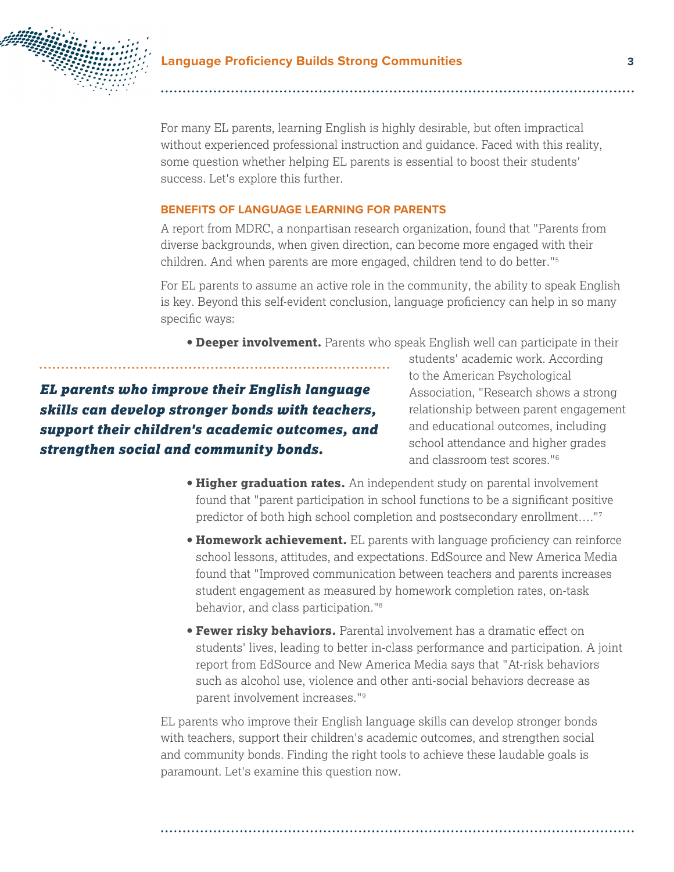

For many EL parents, learning English is highly desirable, but often impractical without experienced professional instruction and guidance. Faced with this reality, some question whether helping EL parents is essential to boost their students' success. Let's explore this further.

### **BENEFITS OF LANGUAGE LEARNING FOR PARENTS**

A report from MDRC, a nonpartisan research organization, found that "Parents from diverse backgrounds, when given direction, can become more engaged with their children. And when parents are more engaged, children tend to do better."5

For EL parents to assume an active role in the community, the ability to speak English is key. Beyond this self-evident conclusion, language proficiency can help in so many specific ways:

**• Deeper involvement.** Parents who speak English well can participate in their

*EL parents who improve their English language skills can develop stronger bonds with teachers, support their children's academic outcomes, and strengthen social and community bonds.*

students' academic work. According to the American Psychological Association, "Research shows a strong relationship between parent engagement and educational outcomes, including school attendance and higher grades and classroom test scores."6

- **Higher graduation rates.** An independent study on parental involvement found that "parent participation in school functions to be a significant positive predictor of both high school completion and postsecondary enrollment…."7
- **Homework achievement.** EL parents with language proficiency can reinforce school lessons, attitudes, and expectations. EdSource and New America Media found that "Improved communication between teachers and parents increases student engagement as measured by homework completion rates, on-task behavior, and class participation."8
- **Fewer risky behaviors.** Parental involvement has a dramatic effect on students' lives, leading to better in-class performance and participation. A joint report from EdSource and New America Media says that "At-risk behaviors such as alcohol use, violence and other anti-social behaviors decrease as parent involvement increases."9

EL parents who improve their English language skills can develop stronger bonds with teachers, support their children's academic outcomes, and strengthen social and community bonds. Finding the right tools to achieve these laudable goals is paramount. Let's examine this question now.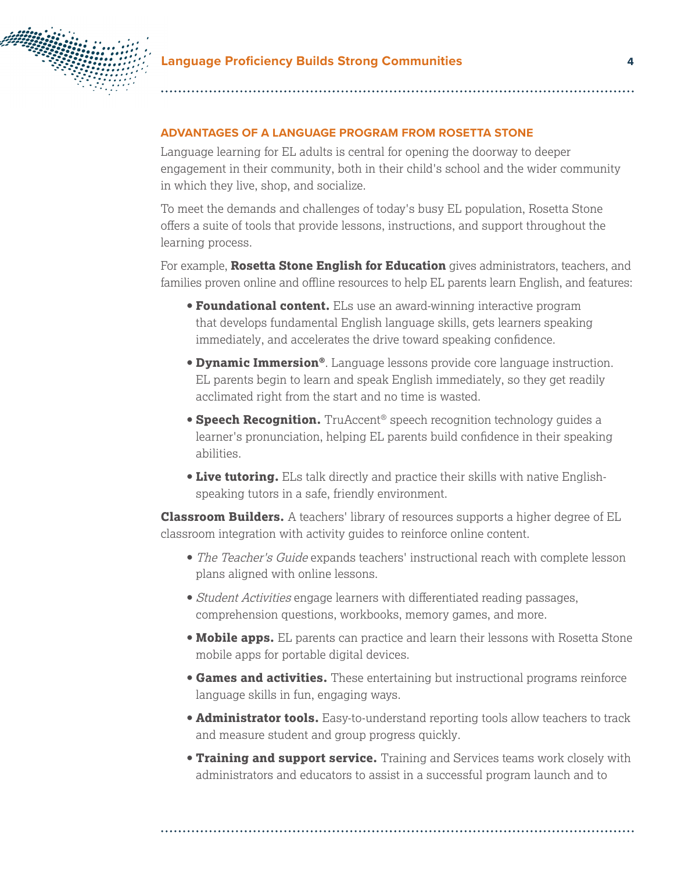

## **ADVANTAGES OF A LANGUAGE PROGRAM FROM ROSETTA STONE**

Language learning for EL adults is central for opening the doorway to deeper engagement in their community, both in their child's school and the wider community in which they live, shop, and socialize.

To meet the demands and challenges of today's busy EL population, Rosetta Stone offers a suite of tools that provide lessons, instructions, and support throughout the learning process.

For example, **Rosetta Stone English for Education** gives administrators, teachers, and families proven online and offline resources to help EL parents learn English, and features:

- **Foundational content.** ELs use an award-winning interactive program that develops fundamental English language skills, gets learners speaking immediately, and accelerates the drive toward speaking confidence.
- **Dynamic Immersion®**. Language lessons provide core language instruction. EL parents begin to learn and speak English immediately, so they get readily acclimated right from the start and no time is wasted.
- **Speech Recognition.** TruAccent<sup>®</sup> speech recognition technology guides a learner's pronunciation, helping EL parents build confidence in their speaking abilities.
- **Live tutoring.** ELs talk directly and practice their skills with native Englishspeaking tutors in a safe, friendly environment.

**Classroom Builders.** A teachers' library of resources supports a higher degree of EL classroom integration with activity guides to reinforce online content.

- **•** The Teacher's Guide expands teachers' instructional reach with complete lesson plans aligned with online lessons.
- **•** Student Activities engage learners with differentiated reading passages, comprehension questions, workbooks, memory games, and more.
- **Mobile apps.** EL parents can practice and learn their lessons with Rosetta Stone mobile apps for portable digital devices.
- **Games and activities.** These entertaining but instructional programs reinforce language skills in fun, engaging ways.
- **Administrator tools.** Easy-to-understand reporting tools allow teachers to track and measure student and group progress quickly.
- **Training and support service.** Training and Services teams work closely with administrators and educators to assist in a successful program launch and to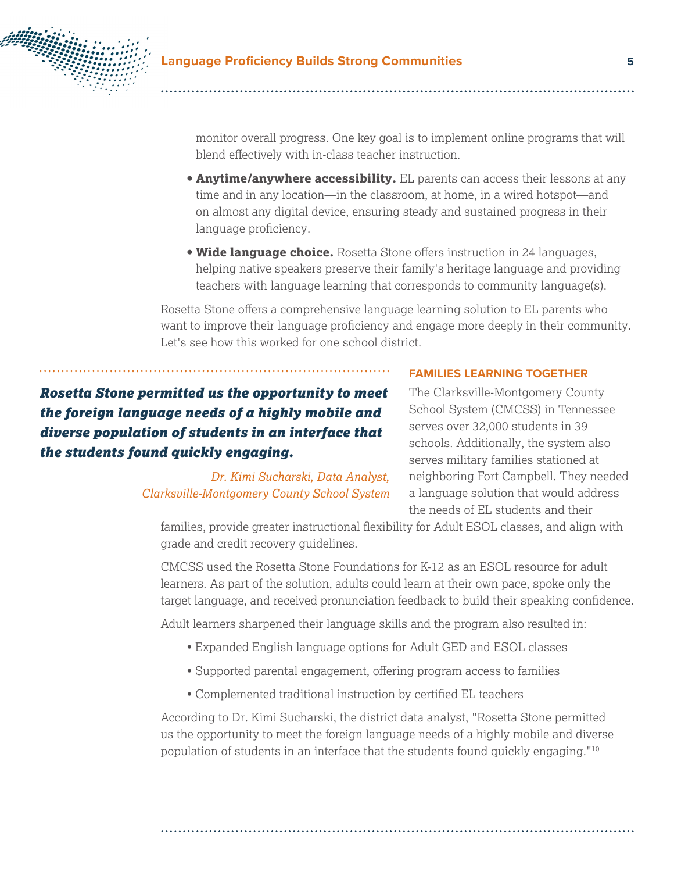

monitor overall progress. One key goal is to implement online programs that will blend effectively with in-class teacher instruction.

- **Anytime/anywhere accessibility.** EL parents can access their lessons at any time and in any location—in the classroom, at home, in a wired hotspot—and on almost any digital device, ensuring steady and sustained progress in their language proficiency.
- **Wide language choice.** Rosetta Stone offers instruction in 24 languages, helping native speakers preserve their family's heritage language and providing teachers with language learning that corresponds to community language(s).

Rosetta Stone offers a comprehensive language learning solution to EL parents who want to improve their language proficiency and engage more deeply in their community. Let's see how this worked for one school district.

*Rosetta Stone permitted us the opportunity to meet the foreign language needs of a highly mobile and diverse population of students in an interface that the students found quickly engaging.*

> *Dr. Kimi Sucharski, Data Analyst, Clarksville-Montgomery County School System*

#### **FAMILIES LEARNING TOGETHER**

The Clarksville-Montgomery County School System (CMCSS) in Tennessee serves over 32,000 students in 39 schools. Additionally, the system also serves military families stationed at neighboring Fort Campbell. They needed a language solution that would address the needs of EL students and their

families, provide greater instructional flexibility for Adult ESOL classes, and align with grade and credit recovery guidelines.

CMCSS used the Rosetta Stone Foundations for K-12 as an ESOL resource for adult learners. As part of the solution, adults could learn at their own pace, spoke only the target language, and received pronunciation feedback to build their speaking confidence.

Adult learners sharpened their language skills and the program also resulted in:

- Expanded English language options for Adult GED and ESOL classes
- Supported parental engagement, offering program access to families
- Complemented traditional instruction by certified EL teachers

According to Dr. Kimi Sucharski, the district data analyst, "Rosetta Stone permitted us the opportunity to meet the foreign language needs of a highly mobile and diverse population of students in an interface that the students found quickly engaging."10